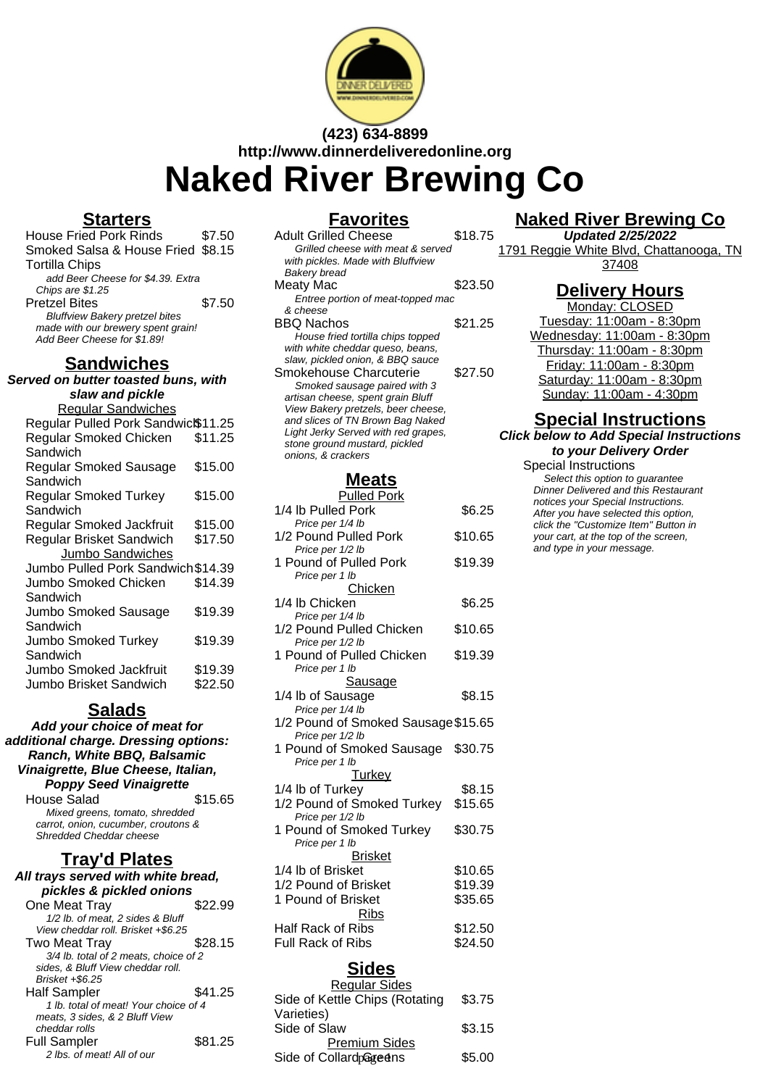

**(423) 634-8899 http://www.dinnerdeliveredonline.org Naked River Brewing Co**

#### **Starters**

| <b>House Fried Pork Rinds</b>         | \$7.50 |
|---------------------------------------|--------|
| Smoked Salsa & House Fried \$8.15     |        |
| Tortilla Chips                        |        |
| add Beer Cheese for \$4.39. Extra     |        |
| Chips are \$1.25                      |        |
| <b>Pretzel Bites</b>                  | \$7.50 |
| <b>Bluffview Bakery pretzel bites</b> |        |
| made with our brewery spent grain!    |        |
| Add Beer Cheese for \$1.89!           |        |
|                                       |        |

### **Sandwiches**

**Served on butter toasted buns, with slaw and pickle** Regular Sandwiches Regular Pulled Pork Sandwic<sup>\$11.25</sup> Regular Smoked Chicken Sandwich \$11.25 Regular Smoked Sausage **Sandwich** \$15.00 Regular Smoked Turkey **Sandwich** \$15.00 Regular Smoked Jackfruit \$15.00 Regular Brisket Sandwich \$17.50 Jumbo Sandwiches Jumbo Pulled Pork Sandwich\$14.39 Jumbo Smoked Chicken Sandwich \$14.39 Jumbo Smoked Sausage **Sandwich** \$19.39 Jumbo Smoked Turkey Sandwich \$19.39 Jumbo Smoked Jackfruit \$19.39 Jumbo Brisket Sandwich \$22.50

**Salads**

| Add your choice of meat for          |         |  |
|--------------------------------------|---------|--|
| additional charge. Dressing options: |         |  |
| Ranch, White BBQ, Balsamic           |         |  |
| Vinaigrette, Blue Cheese, Italian,   |         |  |
| <b>Poppy Seed Vinaigrette</b>        |         |  |
| House Salad                          | \$15.65 |  |
| Mixed greens, tomato, shredded       |         |  |
| carrot, onion, cucumber, croutons &  |         |  |
| Shredded Cheddar cheese              |         |  |
| <u>Tray'd Plates</u>                 |         |  |
| All trays served with white bread,   |         |  |
| pickles & pickled onions             |         |  |
| One Meat Tray                        | \$22.99 |  |
| 1/2 lb. of meat, 2 sides & Bluff     |         |  |
| View cheddar roll. Brisket +\$6.25   |         |  |
| Two Meat Tray                        | 28.15   |  |

| , ,, ,,, ,, , , , , , , , , ,         | -----   |
|---------------------------------------|---------|
| 3/4 lb. total of 2 meats, choice of 2 |         |
| sides, & Bluff View cheddar roll.     |         |
| Brisket +\$6.25                       |         |
| <b>Half Sampler</b>                   | \$41.25 |
| 1 lb. total of meat! Your choice of 4 |         |
| meats. 3 sides. & 2 Bluff View        |         |
| cheddar rolls                         |         |
| <b>Full Sampler</b>                   | \$81.25 |
| 2 lbs. of meat! All of our            |         |
|                                       |         |

### **Favorites**

| <b>Adult Grilled Cheese</b><br>Grilled cheese with meat & served<br>with pickles. Made with Bluffview                                                                              | \$18.75 |
|------------------------------------------------------------------------------------------------------------------------------------------------------------------------------------|---------|
| Bakery bread<br>Meaty Mac<br>Entree portion of meat-topped mac                                                                                                                     | \$23.50 |
| & cheese<br><b>BBQ Nachos</b><br>House fried tortilla chips topped                                                                                                                 | \$21.25 |
| with white cheddar queso, beans,<br>slaw, pickled onion, & BBQ sauce<br>Smokehouse Charcuterie                                                                                     | \$27.50 |
| Smoked sausage paired with 3<br>artisan cheese, spent grain Bluff<br>View Bakery pretzels, beer cheese,<br>and slices of TN Brown Bag Naked<br>Light Jerky Served with red grapes, |         |
| stone ground mustard, pickled<br>onions, & crackers                                                                                                                                |         |

#### **Meats**

| <b>Pulled Pork</b>                        |         |
|-------------------------------------------|---------|
| 1/4 lb Pulled Pork                        | \$6.25  |
| Price per 1/4 lb                          |         |
| 1/2 Pound Pulled Pork<br>Price per 1/2 lb | \$10.65 |
| 1 Pound of Pulled Pork                    | \$19.39 |
| Price per 1 lb                            |         |
| <u>Chicken</u>                            |         |
| 1/4 lb Chicken                            | \$6.25  |
| Price per 1/4 lb                          |         |
| 1/2 Pound Pulled Chicken                  | \$10.65 |
| Price per 1/2 lb                          |         |
| 1 Pound of Pulled Chicken                 | \$19.39 |
| Price per 1 lb<br><u>Sausage</u>          |         |
|                                           |         |
| 1/4 lb of Sausage<br>Price per 1/4 lb     | \$8.15  |
| 1/2 Pound of Smoked Sausage \$15.65       |         |
| Price per 1/2 lb                          |         |
| 1 Pound of Smoked Sausage                 | \$30.75 |
| Price per 1 lb                            |         |
| Turkey                                    |         |
| 1/4 lb of Turkey                          | \$8.15  |
| 1/2 Pound of Smoked Turkey \$15.65        |         |
| Price per 1/2 lb                          |         |
| 1 Pound of Smoked Turkey                  | \$30.75 |
| Price per 1 lb                            |         |
| <b>Brisket</b>                            |         |
| 1/4 lb of Brisket                         | \$10.65 |
| 1/2 Pound of Brisket                      | \$19.39 |
| 1 Pound of Brisket                        | \$35.65 |
| <b>Ribs</b>                               |         |
| Half Rack of Ribs                         | \$12.50 |
| Full Rack of Ribs                         | \$24.50 |
|                                           |         |
| Sides                                     |         |

#### Regular Sides Side of Kettle Chips (Rotating Varieties) \$3.75 Side of Slaw \$3.15 Premium Sides Side of Collard Greens \$5.00

## **Naked River Brewing Co**

**Updated 2/25/2022** 1791 Reggie White Blvd, Chattanooga, TN 37408

## **Delivery Hours**

Monday: CLOSED Tuesday: 11:00am - 8:30pm Wednesday: 11:00am - 8:30pm Thursday: 11:00am - 8:30pm Friday: 11:00am - 8:30pm Saturday: 11:00am - 8:30pm Sunday: 11:00am - 4:30pm

### **Special Instructions**

**Click below to Add Special Instructions to your Delivery Order**

#### Special Instructions

Select this option to quarantee Dinner Delivered and this Restaurant notices your Special Instructions. After you have selected this option, click the "Customize Item" Button in your cart, at the top of the screen, and type in your message.